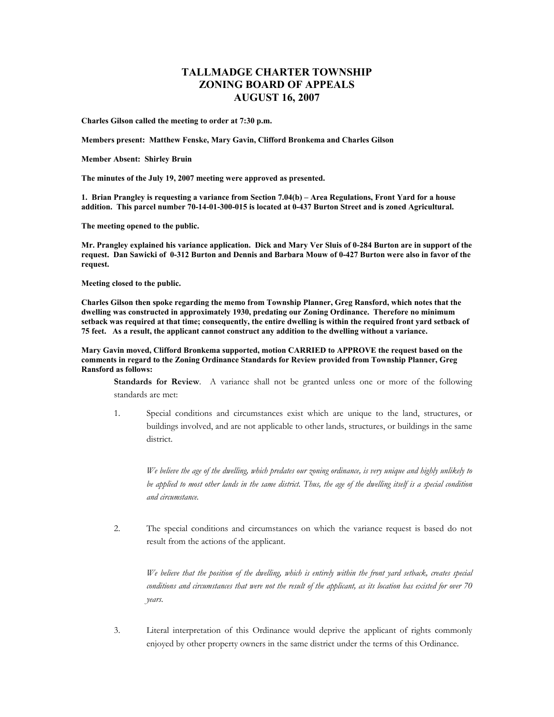## **TALLMADGE CHARTER TOWNSHIP ZONING BOARD OF APPEALS AUGUST 16, 2007**

**Charles Gilson called the meeting to order at 7:30 p.m.** 

**Members present: Matthew Fenske, Mary Gavin, Clifford Bronkema and Charles Gilson** 

**Member Absent: Shirley Bruin** 

**The minutes of the July 19, 2007 meeting were approved as presented.** 

**1. Brian Prangley is requesting a variance from Section 7.04(b) – Area Regulations, Front Yard for a house addition. This parcel number 70-14-01-300-015 is located at 0-437 Burton Street and is zoned Agricultural.** 

**The meeting opened to the public.** 

**Mr. Prangley explained his variance application. Dick and Mary Ver Sluis of 0-284 Burton are in support of the request. Dan Sawicki of 0-312 Burton and Dennis and Barbara Mouw of 0-427 Burton were also in favor of the request.** 

**Meeting closed to the public.** 

**Charles Gilson then spoke regarding the memo from Township Planner, Greg Ransford, which notes that the dwelling was constructed in approximately 1930, predating our Zoning Ordinance. Therefore no minimum setback was required at that time; consequently, the entire dwelling is within the required front yard setback of 75 feet. As a result, the applicant cannot construct any addition to the dwelling without a variance.** 

**Mary Gavin moved, Clifford Bronkema supported, motion CARRIED to APPROVE the request based on the comments in regard to the Zoning Ordinance Standards for Review provided from Township Planner, Greg Ransford as follows:** 

**Standards for Review**. A variance shall not be granted unless one or more of the following standards are met:

1. Special conditions and circumstances exist which are unique to the land, structures, or buildings involved, and are not applicable to other lands, structures, or buildings in the same district.

*We believe the age of the dwelling, which predates our zoning ordinance, is very unique and highly unlikely to be applied to most other lands in the same district. Thus, the age of the dwelling itself is a special condition and circumstance.* 

2. The special conditions and circumstances on which the variance request is based do not result from the actions of the applicant.

*We believe that the position of the dwelling, which is entirely within the front yard setback, creates special conditions and circumstances that were not the result of the applicant, as its location has existed for over 70 years.* 

3. Literal interpretation of this Ordinance would deprive the applicant of rights commonly enjoyed by other property owners in the same district under the terms of this Ordinance.